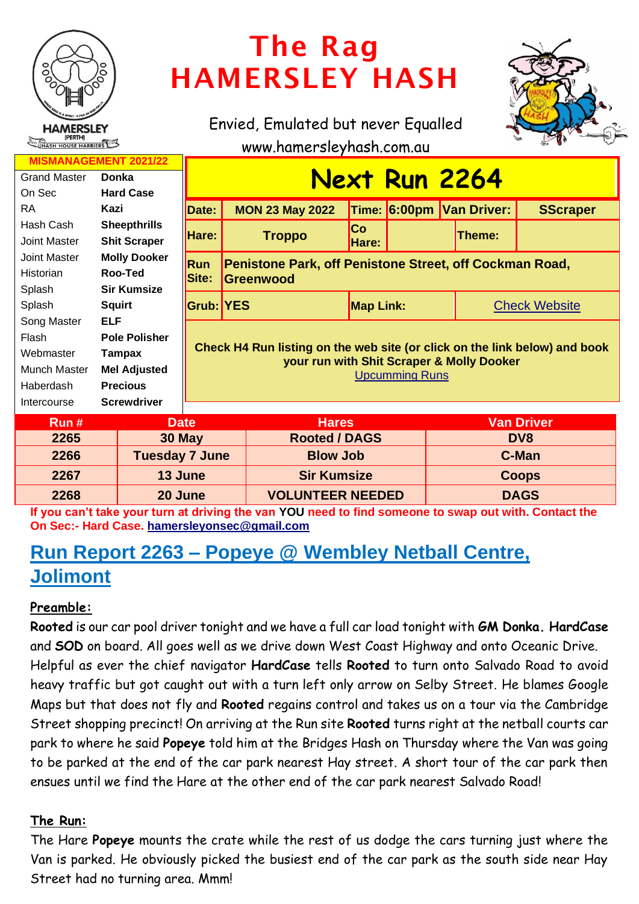

# The Rag HAMERSLEY HASH

Envied, Emulated but never Equalled



www.hamersleyhash.com.au

| <b>MISMANAGEMENT 2021/22</b>  |                      |                                                                                                                                                  |                                                         |                      |  |                          |                 |  |
|-------------------------------|----------------------|--------------------------------------------------------------------------------------------------------------------------------------------------|---------------------------------------------------------|----------------------|--|--------------------------|-----------------|--|
| <b>Grand Master</b>           | <b>Donka</b>         | <u>Next Run 2264</u>                                                                                                                             |                                                         |                      |  |                          |                 |  |
| On Sec                        | <b>Hard Case</b>     |                                                                                                                                                  |                                                         |                      |  |                          |                 |  |
| RA                            | Kazi                 | Date:                                                                                                                                            | <b>MON 23 May 2022</b>                                  |                      |  | Time: 6:00pm Van Driver: | <b>SScraper</b> |  |
| Hash Cash                     | <b>Sheepthrills</b>  | Hare:                                                                                                                                            | <b>Troppo</b>                                           | <b>Co</b>            |  |                          |                 |  |
| Joint Master                  | <b>Shit Scraper</b>  |                                                                                                                                                  |                                                         | Hare:                |  | Theme:                   |                 |  |
| Joint Master                  | <b>Molly Dooker</b>  | <b>Run</b>                                                                                                                                       | Penistone Park, off Penistone Street, off Cockman Road, |                      |  |                          |                 |  |
| <b>Historian</b>              | Roo-Ted              | Site:<br><b>Greenwood</b>                                                                                                                        |                                                         |                      |  |                          |                 |  |
| Splash                        | <b>Sir Kumsize</b>   |                                                                                                                                                  |                                                         |                      |  |                          |                 |  |
| Splash                        | <b>Squirt</b>        | <b>Grub: YES</b>                                                                                                                                 |                                                         | <b>Map Link:</b>     |  | <b>Check Website</b>     |                 |  |
| Song Master                   | <b>ELF</b>           |                                                                                                                                                  |                                                         |                      |  |                          |                 |  |
| Flash                         | <b>Pole Polisher</b> | Check H4 Run listing on the web site (or click on the link below) and book<br>your run with Shit Scraper & Molly Dooker<br><b>Upcumming Runs</b> |                                                         |                      |  |                          |                 |  |
| Webmaster                     | Tampax               |                                                                                                                                                  |                                                         |                      |  |                          |                 |  |
| Munch Master                  | <b>Mel Adjusted</b>  |                                                                                                                                                  |                                                         |                      |  |                          |                 |  |
| Haberdash                     | <b>Precious</b>      |                                                                                                                                                  |                                                         |                      |  |                          |                 |  |
| Intercourse                   | <b>Screwdriver</b>   |                                                                                                                                                  |                                                         |                      |  |                          |                 |  |
| <b>Date</b><br>Run#           |                      | <b>Van Driver</b><br><b>Hares</b>                                                                                                                |                                                         |                      |  |                          |                 |  |
| 2265                          | 30 May               |                                                                                                                                                  |                                                         | <b>Rooted / DAGS</b> |  | DV <sub>8</sub>          |                 |  |
| 2266<br><b>Tuesday 7 June</b> |                      |                                                                                                                                                  |                                                         | <b>Blow Job</b>      |  | C-Man                    |                 |  |

**If you can't take your turn at driving the van YOU need to find someone to swap out with. Contact the 2267 13 June Sir Kumsize Coops 2268 20 June VOLUNTEER NEEDED DAGS**

**On Sec:- Hard Case. [hamersleyonsec@gmail.com](mailto:hamersleyonsec@gmail.com)**

# **Run Report 2263 – Popeye @ Wembley Netball Centre, Jolimont**

# **Preamble:**

**Rooted** is our car pool driver tonight and we have a full car load tonight with **GM Donka. HardCase** and **SOD** on board. All goes well as we drive down West Coast Highway and onto Oceanic Drive. Helpful as ever the chief navigator **HardCase** tells **Rooted** to turn onto Salvado Road to avoid heavy traffic but got caught out with a turn left only arrow on Selby Street. He blames Google Maps but that does not fly and **Rooted** regains control and takes us on a tour via the Cambridge Street shopping precinct! On arriving at the Run site **Rooted** turns right at the netball courts car park to where he said **Popeye** told him at the Bridges Hash on Thursday where the Van was going to be parked at the end of the car park nearest Hay street. A short tour of the car park then ensues until we find the Hare at the other end of the car park nearest Salvado Road!

# **The Run:**

The Hare **Popeye** mounts the crate while the rest of us dodge the cars turning just where the Van is parked. He obviously picked the busiest end of the car park as the south side near Hay Street had no turning area. Mmm!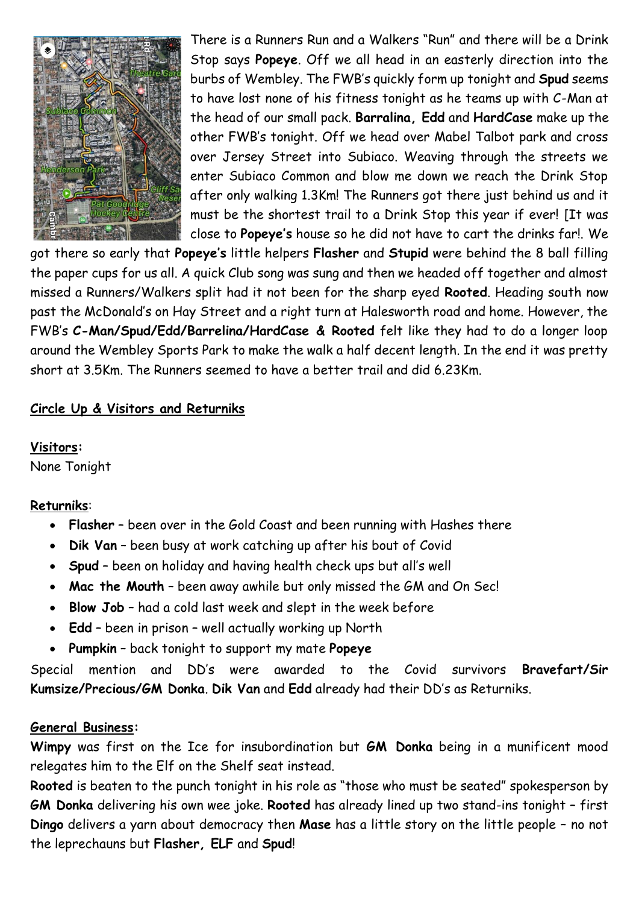

There is a Runners Run and a Walkers "Run" and there will be a Drink Stop says **Popeye**. Off we all head in an easterly direction into the burbs of Wembley. The FWB's quickly form up tonight and **Spud** seems to have lost none of his fitness tonight as he teams up with C-Man at the head of our small pack. **Barralina, Edd** and **HardCase** make up the other FWB's tonight. Off we head over Mabel Talbot park and cross over Jersey Street into Subiaco. Weaving through the streets we enter Subiaco Common and blow me down we reach the Drink Stop after only walking 1.3Km! The Runners got there just behind us and it must be the shortest trail to a Drink Stop this year if ever! [It was close to **Popeye's** house so he did not have to cart the drinks far!. We

got there so early that **Popeye's** little helpers **Flasher** and **Stupid** were behind the 8 ball filling the paper cups for us all. A quick Club song was sung and then we headed off together and almost missed a Runners/Walkers split had it not been for the sharp eyed **Rooted**. Heading south now past the McDonald's on Hay Street and a right turn at Halesworth road and home. However, the FWB's **C-Man/Spud/Edd/Barrelina/HardCase & Rooted** felt like they had to do a longer loop around the Wembley Sports Park to make the walk a half decent length. In the end it was pretty short at 3.5Km. The Runners seemed to have a better trail and did 6.23Km.

#### **Circle Up & Visitors and Returniks**

#### **Visitors:**

None Tonight

#### **Returniks**:

- **Flasher** been over in the Gold Coast and been running with Hashes there
- **Dik Van** been busy at work catching up after his bout of Covid
- **Spud** been on holiday and having health check ups but all's well
- **Mac the Mouth** been away awhile but only missed the GM and On Sec!
- **Blow Job** had a cold last week and slept in the week before
- **Edd** been in prison well actually working up North
- **Pumpkin** back tonight to support my mate **Popeye**

Special mention and DD's were awarded to the Covid survivors **Bravefart/Sir Kumsize/Precious/GM Donka**. **Dik Van** and **Edd** already had their DD's as Returniks.

#### **General Business:**

**Wimpy** was first on the Ice for insubordination but **GM Donka** being in a munificent mood relegates him to the Elf on the Shelf seat instead.

**Rooted** is beaten to the punch tonight in his role as "those who must be seated" spokesperson by **GM Donka** delivering his own wee joke. **Rooted** has already lined up two stand-ins tonight – first **Dingo** delivers a yarn about democracy then **Mase** has a little story on the little people – no not the leprechauns but **Flasher, ELF** and **Spud**!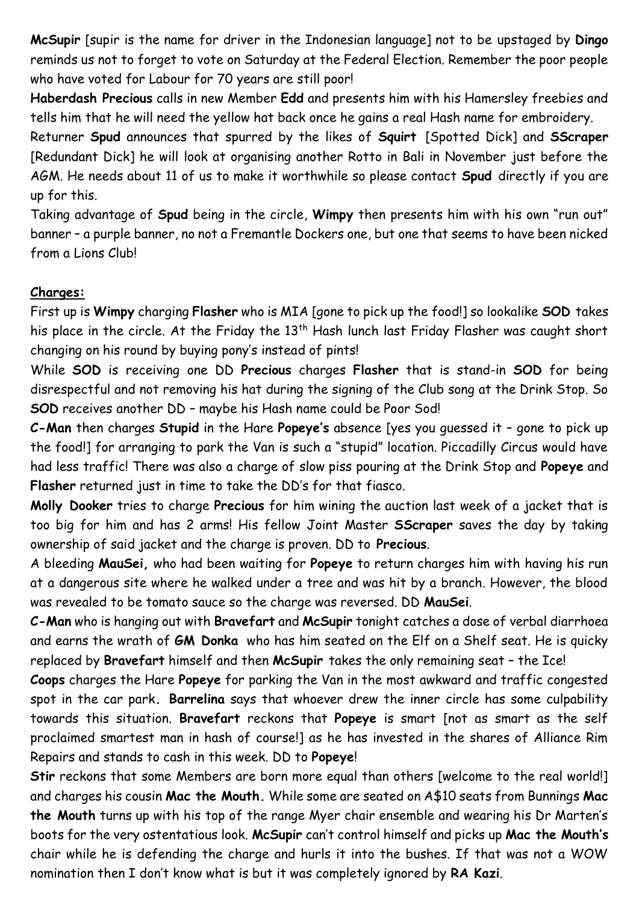**McSupir** [supir is the name for driver in the Indonesian language] not to be upstaged by **Dingo** reminds us not to forget to vote on Saturday at the Federal Election. Remember the poor people who have voted for Labour for 70 years are still poor!

**Haberdash Precious** calls in new Member **Edd** and presents him with his Hamersley freebies and tells him that he will need the yellow hat back once he gains a real Hash name for embroidery.

Returner **Spud** announces that spurred by the likes of **Squirt** [Spotted Dick] and **SScraper** [Redundant Dick] he will look at organising another Rotto in Bali in November just before the AGM. He needs about 11 of us to make it worthwhile so please contact **Spud** directly if you are up for this.

Taking advantage of **Spud** being in the circle, **Wimpy** then presents him with his own "run out" banner – a purple banner, no not a Fremantle Dockers one, but one that seems to have been nicked from a Lions Club!

#### **Charges:**

First up is **Wimpy** charging **Flasher** who is MIA [gone to pick up the food!] so lookalike **SOD** takes his place in the circle. At the Friday the 13<sup>th</sup> Hash lunch last Friday Flasher was caught short changing on his round by buying pony's instead of pints!

While **SOD** is receiving one DD **Precious** charges **Flasher** that is stand-in **SOD** for being disrespectful and not removing his hat during the signing of the Club song at the Drink Stop. So **SOD** receives another DD – maybe his Hash name could be Poor Sod!

**C-Man** then charges **Stupid** in the Hare **Popeye's** absence [yes you guessed it – gone to pick up the food!] for arranging to park the Van is such a "stupid" location. Piccadilly Circus would have had less traffic! There was also a charge of slow piss pouring at the Drink Stop and **Popeye** and **Flasher** returned just in time to take the DD's for that fiasco.

**Molly Dooker** tries to charge **Precious** for him wining the auction last week of a jacket that is too big for him and has 2 arms! His fellow Joint Master **SScraper** saves the day by taking ownership of said jacket and the charge is proven. DD to **Precious**.

A bleeding **MauSei,** who had been waiting for **Popeye** to return charges him with having his run at a dangerous site where he walked under a tree and was hit by a branch. However, the blood was revealed to be tomato sauce so the charge was reversed. DD **MauSei**.

**C-Man** who is hanging out with **Bravefart** and **McSupir** tonight catches a dose of verbal diarrhoea and earns the wrath of **GM Donka** who has him seated on the Elf on a Shelf seat. He is quicky replaced by **Bravefart** himself and then **McSupir** takes the only remaining seat – the Ice!

**Coops** charges the Hare **Popeye** for parking the Van in the most awkward and traffic congested spot in the car park**. Barrelina** says that whoever drew the inner circle has some culpability towards this situation. **Bravefart** reckons that **Popeye** is smart [not as smart as the self proclaimed smartest man in hash of course!] as he has invested in the shares of Alliance Rim Repairs and stands to cash in this week. DD to **Popeye**!

**Stir** reckons that some Members are born more equal than others [welcome to the real world!] and charges his cousin **Mac the Mouth.** While some are seated on A\$10 seats from Bunnings **Mac the Mouth** turns up with his top of the range Myer chair ensemble and wearing his Dr Marten's boots for the very ostentatious look. **McSupir** can't control himself and picks up **Mac the Mouth's** chair while he is defending the charge and hurls it into the bushes. If that was not a WOW nomination then I don't know what is but it was completely ignored by **RA Kazi**.